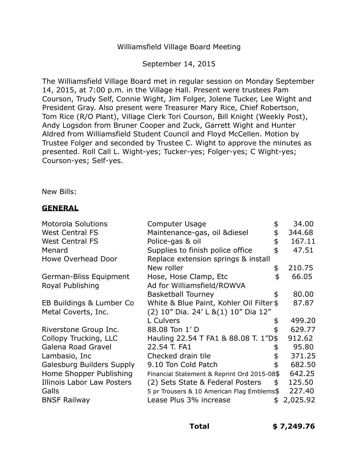# Williamsfield Village Board Meeting

## September 14, 2015

The Williamsfield Village Board met in regular session on Monday September 14, 2015, at 7:00 p.m. in the Village Hall. Present were trustees Pam Courson, Trudy Self, Connie Wight, Jim Folger, Jolene Tucker, Lee Wight and President Gray. Also present were Treasurer Mary Rice, Chief Robertson, Tom Rice (R/O Plant), Village Clerk Tori Courson, Bill Knight (Weekly Post), Andy Logsdon from Bruner Cooper and Zuck, Garrett Wight and Hunter Aldred from Williamsfield Student Council and Floyd McCellen. Motion by Trustee Folger and seconded by Trustee C. Wight to approve the minutes as presented. Roll Call L. Wight-yes; Tucker-yes; Folger-yes; C Wight-yes; Courson-yes; Self-yes.

New Bills:

# **GENERAL**

| <b>Motorola Solutions</b>        | <b>Computer Usage</b>                       | 34.00          |
|----------------------------------|---------------------------------------------|----------------|
| <b>West Central FS</b>           | Maintenance-gas, oil & diesel               | 344.68         |
| <b>West Central FS</b>           | Police-gas & oil                            | \$<br>167.11   |
| Menard                           | Supplies to finish police office            | 47.51          |
| <b>Howe Overhead Door</b>        | Replace extension springs & install         |                |
|                                  | New roller                                  | \$<br>210.75   |
| German-Bliss Equipment           | Hose, Hose Clamp, Etc                       | \$<br>66.05    |
| Royal Publishing                 | Ad for Williamsfield/ROWVA                  |                |
|                                  | <b>Basketball Tourney</b>                   | 80.00          |
| EB Buildings & Lumber Co         | White & Blue Paint, Kohler Oil Filter \$    | 87.87          |
| Metal Coverts, Inc.              | (2) 10" Dia. 24' L & (1) 10" Dia 12"        |                |
|                                  | L Culvers                                   | 499.20         |
| Riverstone Group Inc.            | 88.08 Ton 1' D                              | 629.77         |
| Collopy Trucking, LLC            | Hauling 22.54 T FA1 & 88.08 T. 1"D\$        | 912.62         |
| Galena Road Gravel               | 22.54 T. FA1                                | 95.80          |
| Lambasio, Inc                    | Checked drain tile                          | 371.25         |
| <b>Galesburg Builders Supply</b> | 9.10 Ton Cold Patch                         | 682.50         |
| Home Shopper Publishing          | Financial Statement & Reprint Ord 2015-08\$ | 642.25         |
| Illinois Labor Law Posters       | (2) Sets State & Federal Posters            | \$<br>125.50   |
| Galls                            | 5 pr Trousers & 10 American Flag Emblems\$  | 227.40         |
| <b>BNSF Railway</b>              | Lease Plus 3% increase                      | \$<br>2,025.92 |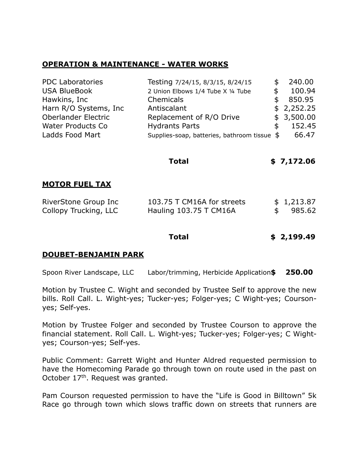### **OPERATION & MAINTENANCE - WATER WORKS**

| <b>PDC Laboratories</b>  | Testing 7/24/15, 8/3/15, 8/24/15             | S   | 240.00     |
|--------------------------|----------------------------------------------|-----|------------|
| <b>USA BlueBook</b>      | 2 Union Elbows 1/4 Tube X 1/4 Tube           |     | 100.94     |
| Hawkins, Inc             | Chemicals                                    | S   | 850.95     |
| Harn R/O Systems, Inc.   | Antiscalant                                  |     | \$2,252.25 |
| Oberlander Electric      | Replacement of R/O Drive                     |     | \$3,500.00 |
| <b>Water Products Co</b> | <b>Hydrants Parts</b>                        | \$. | 152.45     |
| Ladds Food Mart          | Supplies-soap, batteries, bathroom tissue \$ |     | 66.47      |

| <b>MOTOR FUEL TAX</b> |                            |     |            |
|-----------------------|----------------------------|-----|------------|
| RiverStone Group Inc  | 103.75 T CM16A for streets |     | \$1,213.87 |
| Collopy Trucking, LLC | Hauling 103.75 T CM16A     | \$. | 985.62     |

**Total** 

#### **Total Total \$ [2,199.49](https://2,199.49)**

**Total \$ [7,172.06](https://7,172.06)** 

#### **DOUBET-BENJAMIN PARK**

Spoon River Landscape, LLC Labor/trimming, Herbicide Application**\$ 250.00** 

 Motion by Trustee C. Wight and seconded by Trustee Self to approve the new bills. Roll Call. L. Wight-yes; Tucker-yes; Folger-yes; C Wight-yes; Courson-yes; Self-yes.

 Motion by Trustee Folger and seconded by Trustee Courson to approve the financial statement. Roll Call. L. Wight-yes; Tucker-yes; Folger-yes; C Wight-yes; Courson-yes; Self-yes.

 Public Comment: Garrett Wight and Hunter Aldred requested permission to have the Homecoming Parade go through town on route used in the past on October 17<sup>th</sup>. Request was granted.

 Pam Courson requested permission to have the "Life is Good in Billtown" 5k Race go through town which slows traffic down on streets that runners are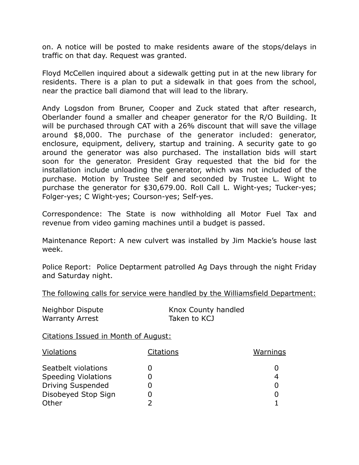on. A notice will be posted to make residents aware of the stops/delays in traffic on that day. Request was granted.

 Floyd McCellen inquired about a sidewalk getting put in at the new library for residents. There is a plan to put a sidewalk in that goes from the school, near the practice ball diamond that will lead to the library.

 Andy Logsdon from Bruner, Cooper and Zuck stated that after research, Oberlander found a smaller and cheaper generator for the R/O Building. It will be purchased through CAT with a 26% discount that will save the village around \$8,000. The purchase of the generator included: generator, enclosure, equipment, delivery, startup and training. A security gate to go around the generator was also purchased. The installation bids will start soon for the generator. President Gray requested that the bid for the installation include unloading the generator, which was not included of the purchase. Motion by Trustee Self and seconded by Trustee L. Wight to purchase the generator for \$[30,679.00.](https://30,679.00) Roll Call L. Wight-yes; Tucker-yes; Folger-yes; C Wight-yes; Courson-yes; Self-yes.

 Correspondence: The State is now withholding all Motor Fuel Tax and revenue from video gaming machines until a budget is passed.

 Maintenance Report: A new culvert was installed by Jim Mackie's house last week.

week.<br>Police Report: Police Deptarment patrolled Ag Days through the night Friday and Saturday night.

The following calls for service were handled by the Williamsfield Department:

| Neighbor Dispute       | Knox County handled |
|------------------------|---------------------|
| <b>Warranty Arrest</b> | Taken to KCJ        |

Citations Issued in Month of August:

| <b>Violations</b>          | <b>Citations</b> | <u>Warnings</u> |
|----------------------------|------------------|-----------------|
| Seatbelt violations        |                  |                 |
| <b>Speeding Violations</b> |                  |                 |
| <b>Driving Suspended</b>   |                  |                 |
| Disobeyed Stop Sign        |                  |                 |
| Other                      |                  |                 |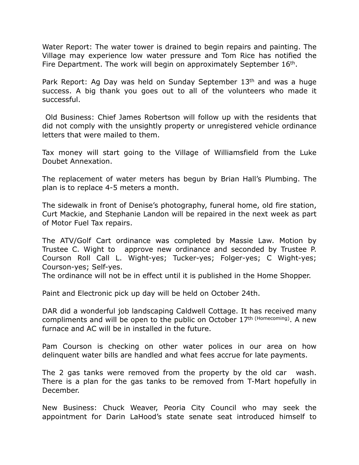Water Report: The water tower is drained to begin repairs and painting. The Village may experience low water pressure and Tom Rice has notified the Fire Department. The work will begin on approximately September 16<sup>th</sup>.

Park Report: Ag Day was held on Sunday September 13<sup>th</sup> and was a huge success. A big thank you goes out to all of the volunteers who made it successful.

 Old Business: Chief James Robertson will follow up with the residents that did not comply with the unsightly property or unregistered vehicle ordinance letters that were mailed to them.

 Tax money will start going to the Village of Williamsfield from the Luke Doubet Annexation.

 The replacement of water meters has begun by Brian Hall's Plumbing. The plan is to replace 4-5 meters a month.

 The sidewalk in front of Denise's photography, funeral home, old fire station, Curt Mackie, and Stephanie Landon will be repaired in the next week as part of Motor Fuel Tax repairs.

 The ATV/Golf Cart ordinance was completed by Massie Law. Motion by Trustee C. Wight to approve new ordinance and seconded by Trustee P. Courson Roll Call L. Wight-yes; Tucker-yes; Folger-yes; C Wight-yes; Courson-yes; Self-yes.

The ordinance will not be in effect until it is published in the Home Shopper.

Paint and Electronic pick up day will be held on October 24th.

 DAR did a wonderful job landscaping Caldwell Cottage. It has received many compliments and will be open to the public on October 17<sup>th (Homecoming)</sup>. A new furnace and AC will be in installed in the future.

 Pam Courson is checking on other water polices in our area on how delinquent water bills are handled and what fees accrue for late payments.

 The 2 gas tanks were removed from the property by the old car wash. There is a plan for the gas tanks to be removed from T-Mart hopefully in December.

December.<br>New Business: Chuck Weaver, Peoria City Council who may seek the appointment for Darin LaHood's state senate seat introduced himself to